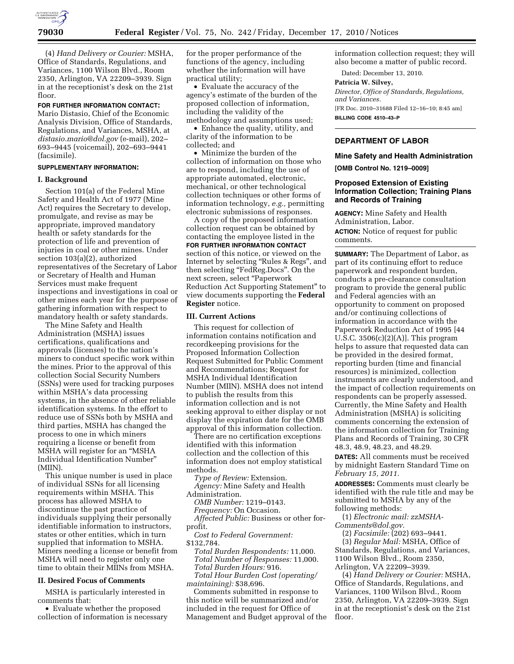

(4) *Hand Delivery or Courier:* MSHA, Office of Standards, Regulations, and Variances, 1100 Wilson Blvd., Room 2350, Arlington, VA 22209–3939. Sign in at the receptionist's desk on the 21st floor.

### **FOR FURTHER INFORMATION CONTACT:**

Mario Distasio, Chief of the Economic Analysis Division, Office of Standards, Regulations, and Variances, MSHA, at *[distasio.mario@dol.gov](mailto:distasio.mario@dol.gov)* (e-mail), 202– 693–9445 (voicemail), 202–693–9441 (facsimile).

### **SUPPLEMENTARY INFORMATION:**

#### **I. Background**

Section 101(a) of the Federal Mine Safety and Health Act of 1977 (Mine Act) requires the Secretary to develop, promulgate, and revise as may be appropriate, improved mandatory health or safety standards for the protection of life and prevention of injuries in coal or other mines. Under section 103(a)(2), authorized representatives of the Secretary of Labor or Secretary of Health and Human Services must make frequent inspections and investigations in coal or other mines each year for the purpose of gathering information with respect to mandatory health or safety standards.

The Mine Safety and Health Administration (MSHA) issues certifications, qualifications and approvals (licenses) to the nation's miners to conduct specific work within the mines. Prior to the approval of this collection Social Security Numbers (SSNs) were used for tracking purposes within MSHA's data processing systems, in the absence of other reliable identification systems. In the effort to reduce use of SSNs both by MSHA and third parties, MSHA has changed the process to one in which miners requiring a license or benefit from MSHA will register for an ''MSHA Individual Identification Number'' (MIIN).

This unique number is used in place of individual SSNs for all licensing requirements within MSHA. This process has allowed MSHA to discontinue the past practice of individuals supplying their personally identifiable information to instructors, states or other entities, which in turn supplied that information to MSHA. Miners needing a license or benefit from MSHA will need to register only one time to obtain their MIINs from MSHA.

## **II. Desired Focus of Comments**

MSHA is particularly interested in comments that:

• Evaluate whether the proposed collection of information is necessary for the proper performance of the functions of the agency, including whether the information will have practical utility;

• Evaluate the accuracy of the agency's estimate of the burden of the proposed collection of information, including the validity of the methodology and assumptions used;

• Enhance the quality, utility, and clarity of the information to be collected; and

• Minimize the burden of the collection of information on those who are to respond, including the use of appropriate automated, electronic, mechanical, or other technological collection techniques or other forms of information technology, *e.g.,* permitting electronic submissions of responses.

A copy of the proposed information collection request can be obtained by contacting the employee listed in the **FOR FURTHER INFORMATION CONTACT** section of this notice, or viewed on the Internet by selecting ''Rules & Regs'', and then selecting ''FedReg.Docs''. On the next screen, select ''Paperwork Reduction Act Supporting Statement'' to view documents supporting the **Federal Register** notice.

### **III. Current Actions**

This request for collection of information contains notification and recordkeeping provisions for the Proposed Information Collection Request Submitted for Public Comment and Recommendations; Request for MSHA Individual Identification Number (MIIN). MSHA does not intend to publish the results from this information collection and is not seeking approval to either display or not display the expiration date for the OMB approval of this information collection.

There are no certification exceptions identified with this information collection and the collection of this information does not employ statistical methods.

*Type of Review:* Extension. *Agency:* Mine Safety and Health

Administration.

*OMB Number:* 1219–0143.

*Frequency:* On Occasion.

*Affected Public:* Business or other forprofit.

*Cost to Federal Government:*  \$132,784.

*Total Burden Respondents:* 11,000. *Total Number of Responses:* 11,000. *Total Burden Hours:* 916.

*Total Hour Burden Cost (operating/ maintaining):* \$38,696.

Comments submitted in response to this notice will be summarized and/or included in the request for Office of Management and Budget approval of the information collection request; they will also become a matter of public record.

Dated: December 13, 2010.

## **Patricia W. Silvey,**

*Director, Office of Standards, Regulations, and Variances.* 

[FR Doc. 2010–31688 Filed 12–16–10; 8:45 am] **BILLING CODE 4510–43–P** 

### **DEPARTMENT OF LABOR**

# **Mine Safety and Health Administration**

**[OMB Control No. 1219–0009]** 

# **Proposed Extension of Existing Information Collection; Training Plans and Records of Training**

**AGENCY:** Mine Safety and Health Administration, Labor. **ACTION:** Notice of request for public comments.

**SUMMARY:** The Department of Labor, as part of its continuing effort to reduce paperwork and respondent burden, conducts a pre-clearance consultation program to provide the general public and Federal agencies with an opportunity to comment on proposed and/or continuing collections of information in accordance with the Paperwork Reduction Act of 1995 [44 U.S.C.  $3506(c)(2)(A)$ . This program helps to assure that requested data can be provided in the desired format, reporting burden (time and financial resources) is minimized, collection instruments are clearly understood, and the impact of collection requirements on respondents can be properly assessed. Currently, the Mine Safety and Health Administration (MSHA) is soliciting comments concerning the extension of the information collection for Training Plans and Records of Training, 30 CFR 48.3, 48.9, 48.23, and 48.29.

**DATES:** All comments must be received by midnight Eastern Standard Time on *February 15, 2011.* 

**ADDRESSES:** Comments must clearly be identified with the rule title and may be submitted to MSHA by any of the following methods:

(1) *Electronic mail: [zzMSHA-](mailto:zzMSHA-Comments@dol.gov)[Comments@dol.gov.](mailto:zzMSHA-Comments@dol.gov)* 

(2) *Facsimile:* (202) 693–9441.

(3) *Regular Mail:* MSHA, Office of Standards, Regulations, and Variances, 1100 Wilson Blvd., Room 2350, Arlington, VA 22209–3939.

(4) *Hand Delivery or Courier:* MSHA, Office of Standards, Regulations, and Variances, 1100 Wilson Blvd., Room 2350, Arlington, VA 22209–3939. Sign in at the receptionist's desk on the 21st floor.